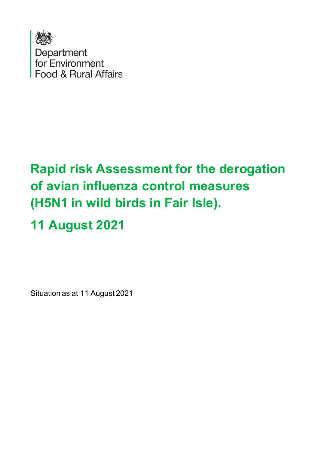

## **Rapid risk Assessment for the derogation of avian influenza control measures (H5N1 in wild birds in Fair Isle).**

# **11 August 2021**

Situation as at 11 August 2021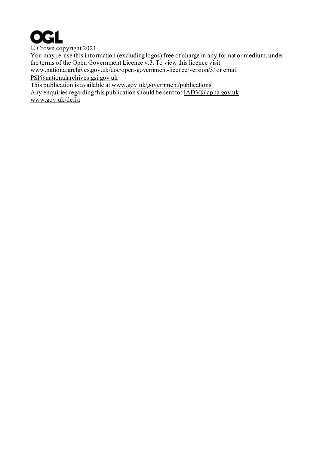

© Crown copyright 2021 You may re-use this information (excluding logos) free of charge in any format or medium, under the terms of the Open Government Licence v.3. To view this licence visit [www.nationalarchives.gov.uk/doc/open-government-licence/version/3/](http://www.nationalarchives.gov.uk/doc/open-government-licence/version/3/) or email [PSI@nationalarchives.gsi.gov.uk](mailto:PSI@nationalarchives.gsi.gov.uk) This publication is available a[t www.gov.uk/government/publications](http://www.gov.uk/government/publications)

Any enquiries regarding this publication should be sent to: [IADM@apha.gov.uk](mailto:IADM@apha.gov.uk) [www.gov.uk/defra](http://www.gov.uk/defra)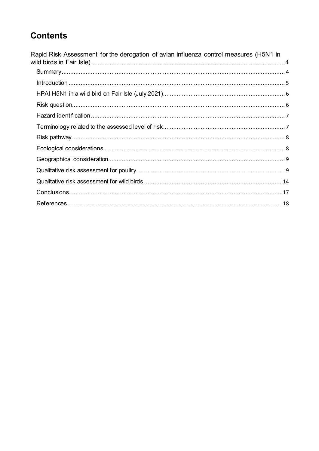## **Contents**

| Rapid Risk Assessment for the derogation of avian influenza control measures (H5N1 in |  |
|---------------------------------------------------------------------------------------|--|
|                                                                                       |  |
|                                                                                       |  |
|                                                                                       |  |
|                                                                                       |  |
|                                                                                       |  |
|                                                                                       |  |
|                                                                                       |  |
|                                                                                       |  |
|                                                                                       |  |
|                                                                                       |  |
|                                                                                       |  |
|                                                                                       |  |
|                                                                                       |  |
|                                                                                       |  |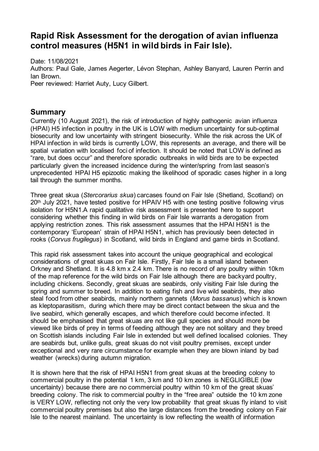## <span id="page-3-0"></span>**Rapid Risk Assessment for the derogation of avian influenza control measures (H5N1 in wild birds in Fair Isle).**

Date: 11/08/2021 Authors: Paul Gale, James Aegerter, Lévon Stephan, Ashley Banyard, Lauren Perrin and Ian Brown. Peer reviewed: Harriet Auty, Lucy Gilbert.

#### <span id="page-3-1"></span>**Summary**

Currently (10 August 2021), the risk of introduction of highly pathogenic avian influenza (HPAI) H5 infection in poultry in the UK is LOW with medium uncertainty for sub-optimal biosecurity and low uncertainty with stringent biosecurity. While the risk across the UK of HPAI infection in wild birds is currently LOW, this represents an average, and there will be spatial variation with localised foci of infection. It should be noted that LOW is defined as "rare, but does occur" and therefore sporadic outbreaks in wild birds are to be expected particularly given the increased incidence during the winter/spring from last season's unprecedented HPAI H5 epizootic making the likelihood of sporadic cases higher in a long tail through the summer months.

Three great skua (*Stercorarius skua*) carcases found on Fair Isle (Shetland, Scotland) on 20th July 2021, have tested positive for HPAIV H5 with one testing positive following virus isolation for H5N1.A rapid qualitative risk assessment is presented here to support considering whether this finding in wild birds on Fair Isle warrants a derogation from applying restriction zones. This risk assessment assumes that the HPAI H5N1 is the contemporary 'European' strain of HPAI H5N1, which has previously been detected in rooks (*Corvus frugilegus*) in Scotland, wild birds in England and game birds in Scotland.

This rapid risk assessment takes into account the unique geographical and ecological considerations of great skuas on Fair Isle. Firstly, Fair Isle is a small island between Orkney and Shetland. It is 4.8 km x 2.4 km. There is no record of any poultry within 10km of the map reference for the wild birds on Fair Isle although there are backyard poultry, including chickens. Secondly, great skuas are seabirds, only visiting Fair Isle during the spring and summer to breed. In addition to eating fish and live wild seabirds, they also steal food from other seabirds, mainly northern gannets (*Morus bassanus*) which is known as kleptoparasitism, during which there may be direct contact between the skua and the live seabird, which generally escapes, and which therefore could become infected. It should be emphasised that great skuas are not like gull species and should more be viewed like birds of prey in terms of feeding although they are not solitary and they breed on Scottish islands including Fair Isle in extended but well defined localised colonies. They are seabirds but, unlike gulls, great skuas do not visit poultry premises, except under exceptional and very rare circumstance for example when they are blown inland by bad weather (wrecks) during autumn migration.

It is shown here that the risk of HPAI H5N1 from great skuas at the breeding colony to commercial poultry in the potential 1 km, 3 km and 10 km zones is NEGLIGIBLE (low uncertainty) because there are no commercial poultry within 10 km of the great skuas' breeding colony. The risk to commercial poultry in the "free area" outside the 10 km zone is VERY LOW, reflecting not only the very low probability that great skuas fly inland to visit commercial poultry premises but also the large distances from the breeding colony on Fair Isle to the nearest mainland. The uncertainty is low reflecting the wealth of information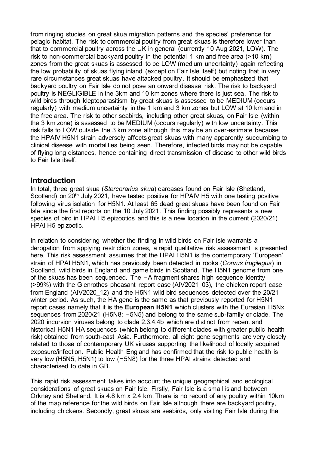from ringing studies on great skua migration patterns and the species' preference for pelagic habitat. The risk to commercial poultry from great skuas is therefore lower than that to commercial poultry across the UK in general (currently 10 Aug 2021, LOW). The risk to non-commercial backyard poultry in the potential 1 km and free area (>10 km) zones from the great skuas is assessed to be LOW (medium uncertainty) again reflecting the low probability of skuas flying inland (except on Fair Isle itself) but noting that in very rare circumstances great skuas have attacked poultry. It should be emphasized that backyard poultry on Fair Isle do not pose an onward disease risk. The risk to backyard poultry is NEGLIGIBLE in the 3km and 10 km zones where there is just sea. The risk to wild birds through kleptoparasitism by great skuas is assessed to be MEDIUM (occurs regularly) with medium uncertainty in the 1 km and 3 km zones but LOW at 10 km and in the free area. The risk to other seabirds, including other great skuas, on Fair Isle (within the 3 km zone) is assessed to be MEDIUM (occurs regularly) with low uncertainty. This risk falls to LOW outside the 3 km zone although this may be an over-estimate because the HPAIV H5N1 strain adversely affects great skuas with many apparently succumbing to clinical disease with mortalities being seen. Therefore, infected birds may not be capable of flying long distances, hence containing direct transmission of disease to other wild birds to Fair Isle itself.

#### <span id="page-4-0"></span>**Introduction**

In total, three great skua (*Stercorarius skua*) carcases found on Fair Isle (Shetland, Scotland) on 20<sup>th</sup> July 2021, have tested positive for HPAIV H5 with one testing positive following virus isolation for H5N1. At least 65 dead great skuas have been found on Fair Isle since the first reports on the 10 July 2021. This finding possibly represents a new species of bird in HPAI H5 epizootics and this is a new location in the current (2020/21) HPAI H5 epizootic.

In relation to considering whether the finding in wild birds on Fair Isle warrants a derogation from applying restriction zones, a rapid qualitative risk assessment is presented here. This risk assessment assumes that the HPAI H5N1 is the contemporary 'European' strain of HPAI H5N1, which has previously been detected in rooks (*Corvus frugilegus*) in Scotland, wild birds in England and game birds in Scotland. The H5N1 genome from one of the skuas has been sequenced. The HA fragment shares high sequence identity (>99%) with the Glenrothes pheasant report case (AIV2021 03), the chicken report case from England (AIV2020\_12) and the H5N1 wild bird sequences detected over the 20/21 winter period. As such, the HA gene is the same as that previously reported for H5N1 report cases namely that it is the **European H5N1** which clusters with the Eurasian H5Nx sequences from 2020/21 (H5N8; H5N5) and belong to the same sub-family or clade. The 2020 incursion viruses belong to clade 2.3.4.4b which are distinct from recent and historical H5N1 HA sequences (which belong to different clades with greater public health risk) obtained from south-east Asia. Furthermore, all eight gene segments are very closely related to those of contemporary UK viruses supporting the likelihood of locally acquired exposure/infection. Public Health England has confirmed that the risk to public health is very low (H5N5, H5N1) to low (H5N8) for the three HPAI strains detected and characterised to date in GB.

This rapid risk assessment takes into account the unique geographical and ecological considerations of great skuas on Fair Isle. Firstly, Fair Isle is a small island between Orkney and Shetland. It is 4.8 km x 2.4 km. There is no record of any poultry within 10km of the map reference for the wild birds on Fair Isle although there are backyard poultry, including chickens. Secondly, great skuas are seabirds, only visiting Fair Isle during the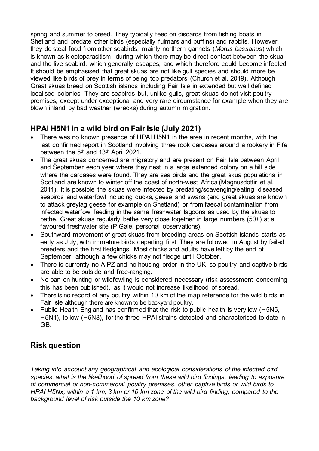spring and summer to breed. They typically feed on discards from fishing boats in Shetland and predate other birds (especially fulmars and puffins) and rabbits. However, they do steal food from other seabirds, mainly northern gannets (*Morus bassanus*) which is known as kleptoparasitism, during which there may be direct contact between the skua and the live seabird, which generally escapes, and which therefore could become infected. It should be emphasised that great skuas are not like gull species and should more be viewed like birds of prey in terms of being top predators (Church et al. 2019). Although Great skuas breed on Scottish islands including Fair Isle in extended but well defined localised colonies. They are seabirds but, unlike gulls, great skuas do not visit poultry premises, except under exceptional and very rare circumstance for example when they are blown inland by bad weather (wrecks) during autumn migration.

## <span id="page-5-0"></span>**HPAI H5N1 in a wild bird on Fair Isle (July 2021)**

- There was no known presence of HPAI H5N1 in the area in recent months, with the last confirmed report in Scotland involving three rook carcases around a rookery in Fife between the 5<sup>th</sup> and 13<sup>th</sup> April 2021.
- The great skuas concerned are migratory and are present on Fair Isle between April and September each year where they nest in a large extended colony on a hill side where the carcases were found. They are sea birds and the great skua populations in Scotland are known to winter off the coast of north-west Africa (Magnusdottir et al. 2011). It is possible the skuas were infected by predating/scavenging/eating diseased seabirds and waterfowl including ducks, geese and swans (and great skuas are known to attack greylag geese for example on Shetland) or from faecal contamination from infected waterfowl feeding in the same freshwater lagoons as used by the skuas to bathe. Great skuas regularly bathe very close together in large numbers (50+) at a favoured freshwater site (P Gale, personal observations).
- Southward movement of great skuas from breeding areas on Scottish islands starts as early as July, with immature birds departing first. They are followed in August by failed breeders and the first fledglings. Most chicks and adults have left by the end of September, although a few chicks may not fledge until October.
- There is currently no AIPZ and no housing order in the UK, so poultry and captive birds are able to be outside and free-ranging.
- No ban on hunting or wildfowling is considered necessary (risk assessment concerning this has been published), as it would not increase likelihood of spread.
- There is no record of any poultry within 10 km of the map reference for the wild birds in Fair Isle although there are known to be backyard poultry.
- Public Health England has confirmed that the risk to public health is very low (H5N5, H5N1), to low (H5N8), for the three HPAI strains detected and characterised to date in GB.

## <span id="page-5-1"></span>**Risk question**

*Taking into account any geographical and ecological considerations of the infected bird species, what is the likelihood of spread from these wild bird findings, leading to exposure of commercial or non-commercial poultry premises, other captive birds or wild birds to HPAI H5Nx; within a 1 km, 3 km or 10 km zone of the wild bird finding, compared to the background level of risk outside the 10 km zone?*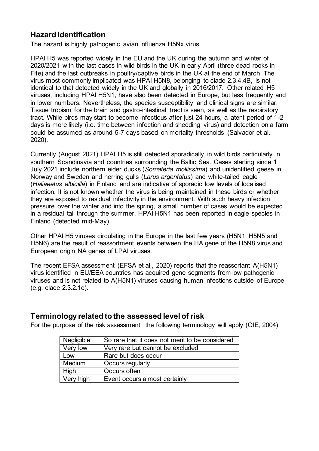## <span id="page-6-0"></span>**Hazard identification**

The hazard is highly pathogenic avian influenza H5Nx virus.

HPAI H5 was reported widely in the EU and the UK during the autumn and winter of 2020/2021 with the last cases in wild birds in the UK in early April (three dead rooks in Fife) and the last outbreaks in poultry/captive birds in the UK at the end of March. The virus most commonly implicated was HPAI H5N8, belonging to clade 2.3.4.4B, is not identical to that detected widely in the UK and globally in 2016/2017. Other related H5 viruses, including HPAI H5N1, have also been detected in Europe, but less frequently and in lower numbers. Nevertheless, the species susceptibility and clinical signs are similar. Tissue tropism for the brain and gastro-intestinal tract is seen, as well as the respiratory tract. While birds may start to become infectious after just 24 hours, a latent period of 1-2 days is more likely (i.e. time between infection and shedding virus) and detection on a farm could be assumed as around 5-7 days based on mortality thresholds (Salvador et al. 2020).

Currently (August 2021) HPAI H5 is still detected sporadically in wild birds particularly in southern Scandinavia and countries surrounding the Baltic Sea. Cases starting since 1 July 2021 include northern eider ducks (*Somateria mollissima*) and unidentified geese in Norway and Sweden and herring gulls (*Larus argentatus*) and white-tailed eagle (*Haliaeetus albicilla*) in Finland and are indicative of sporadic low levels of localised infection. It is not known whether the virus is being maintained in these birds or whether they are exposed to residual infectivity in the environment. With such heavy infection pressure over the winter and into the spring, a small number of cases would be expected in a residual tail through the summer. HPAI H5N1 has been reported in eagle species in Finland (detected mid-May).

Other HPAI H5 viruses circulating in the Europe in the last few years (H5N1, H5N5 and H5N6) are the result of reassortment events between the HA gene of the H5N8 virus and European origin NA genes of LPAI viruses.

The recent EFSA assessment (EFSA et al., 2020) reports that the reassortant A(H5N1) virus identified in EU/EEA countries has acquired gene segments from low pathogenic viruses and is not related to A(H5N1) viruses causing human infections outside of Europe (e.g. clade 2.3.2.1c).

## <span id="page-6-1"></span>**Terminology related to the assessed level of risk**

For the purpose of the risk assessment, the following terminology will apply (OIE, 2004):

| Negligible | So rare that it does not merit to be considered |
|------------|-------------------------------------------------|
| Very low   | Very rare but cannot be excluded                |
| Low        | Rare but does occur                             |
| Medium     | <b>Occurs regularly</b>                         |
| High       | Occurs often                                    |
| Very high  | Event occurs almost certainly                   |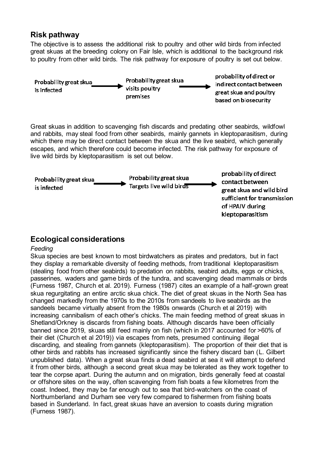## <span id="page-7-0"></span>**Risk pathway**

The objective is to assess the additional risk to poultry and other wild birds from infected great skuas at the breeding colony on Fair Isle, which is additional to the background risk to poultry from other wild birds. The risk pathway for exposure of poultry is set out below.



Great skuas in addition to scavenging fish discards and predating other seabirds, wildfowl and rabbits, may steal food from other seabirds, mainly gannets in kleptoparasitism, during which there may be direct contact between the skua and the live seabird, which generally escapes, and which therefore could become infected. The risk pathway for exposure of live wild birds by kleptoparasitism is set out below.



## <span id="page-7-1"></span>**Ecological considerations**

#### *Feeding*

Skua species are best known to most birdwatchers as pirates and predators, but in fact they display a remarkable diversity of feeding methods, from traditional kleptoparasitism (stealing food from other seabirds) to predation on rabbits, seabird adults, eggs or chicks, passerines, waders and game birds of the tundra, and scavenging dead mammals or birds (Furness 1987, Church et al. 2019). Furness (1987) cites an example of a half-grown great skua regurgitating an entire arctic skua chick. The diet of great skuas in the North Sea has changed markedly from the 1970s to the 2010s from sandeels to live seabirds as the sandeels became virtually absent from the 1980s onwards (Church et al 2019) with increasing cannibalism of each other's chicks. The main feeding method of great skuas in Shetland/Orkney is discards from fishing boats. Although discards have been officially banned since 2019, skuas still feed mainly on fish (which in 2017 accounted for >60% of their diet (Church et al 2019)) via escapes from nets, presumed continuing illegal discarding, and stealing from gannets (kleptoparasitism). The proportion of their diet that is other birds and rabbits has increased significantly since the fishery discard ban (L. Gilbert unpublished data). When a great skua finds a dead seabird at sea it will attempt to defend it from other birds, although a second great skua may be tolerated as they work together to tear the corpse apart. During the autumn and on migration, birds generally feed at coastal or offshore sites on the way, often scavenging from fish boats a few kilometres from the coast. Indeed, they may be far enough out to sea that bird-watchers on the coast of Northumberland and Durham see very few compared to fishermen from fishing boats based in Sunderland. In fact, great skuas have an aversion to coasts during migration (Furness 1987).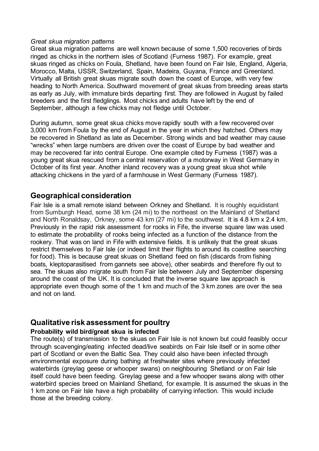#### *Great skua migration patterns*

Great skua migration patterns are well known because of some 1,500 recoveries of birds ringed as chicks in the northern isles of Scotland (Furness 1987). For example, great skuas ringed as chicks on Foula, Shetland, have been found on Fair Isle, England, Algeria, Morocco, Malta, USSR, Switzerland, Spain, Madeira, Guyana, France and Greenland. Virtually all British great skuas migrate south down the coast of Europe, with very few heading to North America. Southward movement of great skuas from breeding areas starts as early as July, with immature birds departing first. They are followed in August by failed breeders and the first fledglings. Most chicks and adults have left by the end of September, although a few chicks may not fledge until October.

During autumn, some great skua chicks move rapidly south with a few recovered over 3,000 km from Foula by the end of August in the year in which they hatched. Others may be recovered in Shetland as late as December. Strong winds and bad weather may cause "wrecks" when large numbers are driven over the coast of Europe by bad weather and may be recovered far into central Europe. One example cited by Furness (1987) was a young great skua rescued from a central reservation of a motorway in West Germany in October of its first year. Another inland recovery was a young great skua shot while attacking chickens in the yard of a farmhouse in West Germany (Furness 1987).

#### <span id="page-8-0"></span>**Geographical consideration**

Fair Isle is a small remote island between Orkney and Shetland. It is roughly equidistant from Sumburgh Head, some 38 km (24 mi) to the northeast on the Mainland of Shetland and North Ronaldsay, Orkney, some 43 km (27 mi) to the southwest. It is 4.8 km x 2.4 km. Previously in the rapid risk assessment for rooks in Fife, the inverse square law was used to estimate the probability of rooks being infected as a function of the distance from the rookery. That was on land in Fife with extensive fields. It is unlikely that the great skuas restrict themselves to Fair Isle (or indeed limit their flights to around its coastline searching for food). This is because great skuas on Shetland feed on fish (discards from fishing boats, kleptoparasitised from gannets see above), other seabirds and therefore fly out to sea. The skuas also migrate south from Fair Isle between July and September dispersing around the coast of the UK. It is concluded that the inverse square law approach is appropriate even though some of the 1 km and much of the 3 km zones are over the sea and not on land.

## <span id="page-8-1"></span>**Qualitative risk assessment for poultry**

#### **Probability wild bird/great skua is infected**

The route(s) of transmission to the skuas on Fair Isle is not known but could feasibly occur through scavenging/eating infected dead/live seabirds on Fair Isle itself or in some other part of Scotland or even the Baltic Sea. They could also have been infected through environmental exposure during bathing at freshwater sites where previously infected waterbirds (greylag geese or whooper swans) on neighbouring Shetland or on Fair Isle itself could have been feeding. Greylag geese and a few whooper swans along with other waterbird species breed on Mainland Shetland, for example. It is assumed the skuas in the 1 km zone on Fair Isle have a high probability of carrying infection. This would include those at the breeding colony.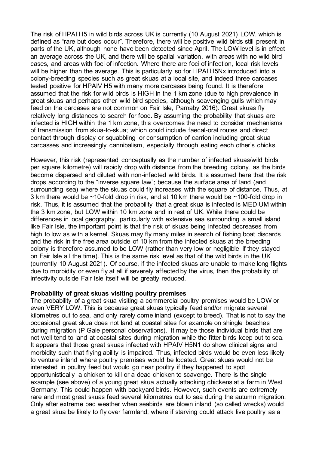The risk of HPAI H5 in wild birds across UK is currently (10 August 2021) LOW, which is defined as "rare but does occur". Therefore, there will be positive wild birds still present in parts of the UK, although none have been detected since April. The LOW level is in effect an average across the UK, and there will be spatial variation, with areas with no wild bird cases, and areas with foci of infection. Where there are foci of infection, local risk levels will be higher than the average. This is particularly so for HPAI H5Nx introduced into a colony-breeding species such as great skuas at a local site, and indeed three carcases tested positive for HPAIV H5 with many more carcases being found. It is therefore assumed that the risk for wild birds is HIGH in the 1 km zone (due to high prevalence in great skuas and perhaps other wild bird species, although scavenging gulls which may feed on the carcases are not common on Fair Isle, Parnaby 2016). Great skuas fly relatively long distances to search for food. By assuming the probability that skuas are infected is HIGH within the 1 km zone, this overcomes the need to consider mechanisms of transmission from skua-to-skua; which could include faecal-oral routes and direct contact through display or squabbling or consumption of carrion including great skua carcasses and increasingly cannibalism, especially through eating each other's chicks.

However, this risk (represented conceptually as the number of infected skuas/wild birds per square kilometre) will rapidly drop with distance from the breeding colony, as the birds become dispersed and diluted with non-infected wild birds. It is assumed here that the risk drops according to the "inverse square law"; because the surface area of land (and surrounding sea) where the skuas could fly increases with the square of distance. Thus, at 3 km there would be ~10-fold drop in risk, and at 10 km there would be ~100-fold drop in risk. Thus, it is assumed that the probability that a great skua is infected is MEDIUM within the 3 km zone, but LOW within 10 km zone and in rest of UK. While there could be differences in local geography, particularly with extensive sea surrounding a small island like Fair Isle, the important point is that the risk of skuas being infected decreases from high to low as with a kernel. Skuas may fly many miles in search of fishing boat discards and the risk in the free area outside of 10 km from the infected skuas at the breeding colony is therefore assumed to be LOW (rather than very low or negligible if they stayed on Fair Isle all the time). This is the same risk level as that of the wild birds in the UK (currently 10 August 2021). Of course, if the infected skuas are unable to make long flights due to morbidity or even fly at all if severely affected by the virus, then the probability of infectivity outside Fair Isle itself will be greatly reduced.

#### **Probability of great skuas visiting poultry premises**

The probability of a great skua visiting a commercial poultry premises would be LOW or even VERY LOW. This is because great skuas typically feed and/or migrate several kilometres out to sea, and only rarely come inland (except to breed). That is not to say the occasional great skua does not land at coastal sites for example on shingle beaches during migration (P Gale personal observations). It may be those individual birds that are not well tend to land at coastal sites during migration while the fitter birds keep out to sea. It appears that those great skuas infected with HPAIV H5N1 do show clinical signs and morbidity such that flying ability is impaired. Thus, infected birds would be even less likely to venture inland where poultry premises would be located. Great skuas would not be interested in poultry feed but would go near poultry if they happened to spot opportunistically a chicken to kill or a dead chicken to scavenge. There is the single example (see above) of a young great skua actually attacking chickens at a farm in West Germany. This could happen with backyard birds. However, such events are extremely rare and most great skuas feed several kilometres out to sea during the autumn migration. Only after extreme bad weather when seabirds are blown inland (so called wrecks) would a great skua be likely to fly over farmland, where if starving could attack live poultry as a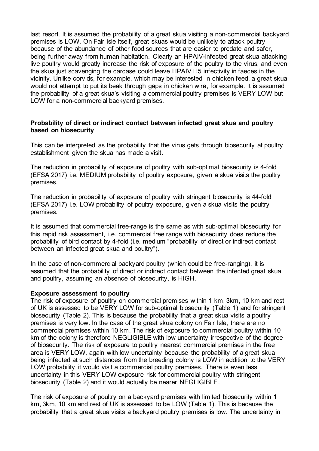last resort. It is assumed the probability of a great skua visiting a non-commercial backyard premises is LOW. On Fair Isle itself, great skuas would be unlikely to attack poultry because of the abundance of other food sources that are easier to predate and safer, being further away from human habitation. Clearly an HPAIV-infected great skua attacking live poultry would greatly increase the risk of exposure of the poultry to the virus, and even the skua just scavenging the carcase could leave HPAIV H5 infectivity in faeces in the vicinity. Unlike corvids, for example, which may be interested in chicken feed, a great skua would not attempt to put its beak through gaps in chicken wire, for example. It is assumed the probability of a great skua's visiting a commercial poultry premises is VERY LOW but LOW for a non-commercial backyard premises.

#### **Probability of direct or indirect contact between infected great skua and poultry based on biosecurity**

This can be interpreted as the probability that the virus gets through biosecurity at poultry establishment given the skua has made a visit.

The reduction in probability of exposure of poultry with sub-optimal biosecurity is 4-fold (EFSA 2017) i.e. MEDIUM probability of poultry exposure, given a skua visits the poultry premises.

The reduction in probability of exposure of poultry with stringent biosecurity is 44-fold (EFSA 2017) i.e. LOW probability of poultry exposure, given a skua visits the poultry premises.

It is assumed that commercial free-range is the same as with sub-optimal biosecurity for this rapid risk assessment, i.e. commercial free range with biosecurity does reduce the probability of bird contact by 4-fold (i.e. medium "probability of direct or indirect contact between an infected great skua and poultry").

In the case of non-commercial backyard poultry (which could be free-ranging), it is assumed that the probability of direct or indirect contact between the infected great skua and poultry, assuming an absence of biosecurity, is HIGH.

#### **Exposure assessment to poultry**

The risk of exposure of poultry on commercial premises within 1 km, 3km, 10 km and rest of UK is assessed to be VERY LOW for sub-optimal biosecurity (Table 1) and for stringent biosecurity (Table 2). This is because the probability that a great skua visits a poultry premises is very low. In the case of the great skua colony on Fair Isle, there are no commercial premises within 10 km. The risk of exposure to commercial poultry within 10 km of the colony is therefore NEGLIGIBLE with low uncertainty irrespective of the degree of biosecurity. The risk of exposure to poultry nearest commercial premises in the free area is VERY LOW, again with low uncertainty because the probability of a great skua being infected at such distances from the breeding colony is LOW in addition to the VERY LOW probability it would visit a commercial poultry premises. There is even less uncertainty in this VERY LOW exposure risk for commercial poultry with stringent biosecurity (Table 2) and it would actually be nearer NEGLIGIBLE.

The risk of exposure of poultry on a backyard premises with limited biosecurity within 1 km, 3km, 10 km and rest of UK is assessed to be LOW (Table 1). This is because the probability that a great skua visits a backyard poultry premises is low. The uncertainty in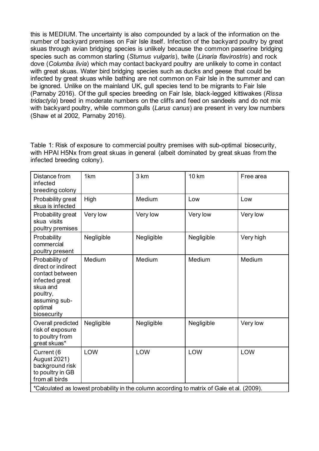this is MEDIUM. The uncertainty is also compounded by a lack of the information on the number of backyard premises on Fair Isle itself. Infection of the backyard poultry by great skuas through avian bridging species is unlikely because the common passerine bridging species such as common starling (*Sturnus vulgaris*), twite (*Linaria flavirostris*) and rock dove (*Columba livia*) which may contact backyard poultry are unlikely to come in contact with great skuas. Water bird bridging species such as ducks and geese that could be infected by great skuas while bathing are not common on Fair Isle in the summer and can be ignored. Unlike on the mainland UK, gull species tend to be migrants to Fair Isle (Parnaby 2016). Of the gull species breeding on Fair Isle, black-legged kittiwakes (*Rissa tridactyla*) breed in moderate numbers on the cliffs and feed on sandeels and do not mix with backyard poultry, while common gulls (*Larus canus*) are present in very low numbers (Shaw et al 2002, Parnaby 2016).

Table 1: Risk of exposure to commercial poultry premises with sub-optimal biosecurity, with HPAI H5Nx from great skuas in general (albeit dominated by great skuas from the infected breeding colony).

| Distance from<br>infected<br>breeding colony                                                                                                 | 1 <sub>km</sub> | 3 km       | <b>10 km</b>                                                                                      | Free area |
|----------------------------------------------------------------------------------------------------------------------------------------------|-----------------|------------|---------------------------------------------------------------------------------------------------|-----------|
| Probability great<br>skua is infected                                                                                                        | High            | Medium     | Low                                                                                               | Low       |
| Probability great<br>skua visits<br>poultry premises                                                                                         | Very low        | Very low   | Very low                                                                                          | Very low  |
| Probability<br>commercial<br>poultry present                                                                                                 | Negligible      | Negligible | Negligible                                                                                        | Very high |
| Probability of<br>direct or indirect<br>contact between<br>infected great<br>skua and<br>poultry,<br>assuming sub-<br>optimal<br>biosecurity | Medium          | Medium     | Medium                                                                                            | Medium    |
| Overall predicted<br>risk of exposure<br>to poultry from<br>great skuas*                                                                     | Negligible      | Negligible | Negligible                                                                                        | Very low  |
| Current (6<br><b>August 2021)</b><br>background risk<br>to poultry in GB<br>from all birds                                                   | LOW             | LOW        | LOW<br>*Calculated as lowest probability in the column according to matrix of Gale et al. (2009). | LOW       |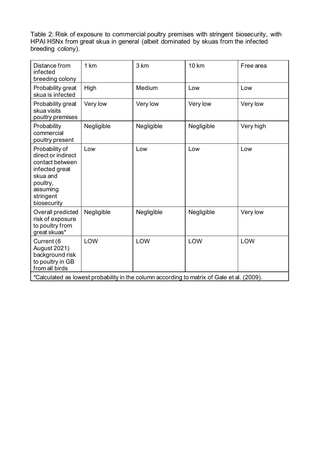Table 2: Risk of exposure to commercial poultry premises with stringent biosecurity, with HPAI H5Nx from great skua in general (albeit dominated by skuas from the infected breeding colony).

| Distance from<br>infected<br>breeding colony                                                                                              | 1 km       | 3 km       | <b>10 km</b>                                                                                      | Free area |
|-------------------------------------------------------------------------------------------------------------------------------------------|------------|------------|---------------------------------------------------------------------------------------------------|-----------|
| Probability great<br>skua is infected                                                                                                     | High       | Medium     | Low                                                                                               | Low       |
| Probability great<br>skua visits<br>poultry premises                                                                                      | Very low   | Very low   | Very low                                                                                          | Very low  |
| Probability<br>commercial<br>poultry present                                                                                              | Negligible | Negligible | Negligible                                                                                        | Very high |
| Probability of<br>direct or indirect<br>contact between<br>infected great<br>skua and<br>poultry,<br>assuming<br>stringent<br>biosecurity | Low        | Low        | Low                                                                                               | Low       |
| Overall predicted<br>risk of exposure<br>to poultry from<br>great skuas*                                                                  | Negligible | Negligible | Negligible                                                                                        | Very low  |
| Current (6<br><b>August 2021)</b><br>background risk<br>to poultry in GB<br>from all birds                                                | LOW        | LOW        | LOW<br>*Calculated as lowest probability in the column according to matrix of Gale et al. (2009). | LOW       |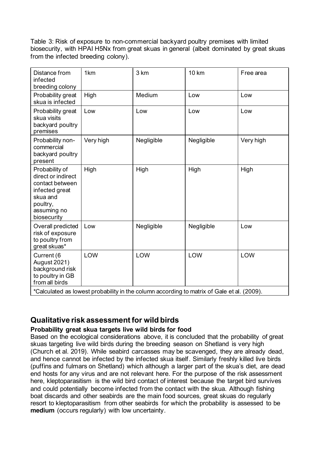Table 3: Risk of exposure to non-commercial backyard poultry premises with limited biosecurity, with HPAI H5Nx from great skuas in general (albeit dominated by great skuas from the infected breeding colony).

| Distance from<br>infected<br>breeding colony                                                                                    | 1 <sub>km</sub> | 3 km       | <b>10 km</b>                                                                                    | Free area |
|---------------------------------------------------------------------------------------------------------------------------------|-----------------|------------|-------------------------------------------------------------------------------------------------|-----------|
| Probability great<br>skua is infected                                                                                           | High            | Medium     | Low                                                                                             | Low       |
| Probability great<br>skua visits<br>backyard poultry<br>premises                                                                | Low             | Low        | Low                                                                                             | Low       |
| Probability non-<br>commercial<br>backyard poultry<br>present                                                                   | Very high       | Negligible | Negligible                                                                                      | Very high |
| Probability of<br>direct or indirect<br>contact between<br>infected great<br>skua and<br>poultry,<br>assuming no<br>biosecurity | High            | High       | High                                                                                            | High      |
| Overall predicted<br>risk of exposure<br>to poultry from<br>great skuas*                                                        | Low             | Negligible | Negligible                                                                                      | Low       |
| Current (6<br><b>August 2021)</b><br>background risk<br>to poultry in GB<br>from all birds                                      | LOW             | LOW        | LOW<br>*Calculated as lowest probability in the column according to matrix of Calculated (2000) | LOW       |

 $\,$ Calculated as lowest probability in the column according to matrix of Gale et al.  $(2009)$ .  $\,$ 

## <span id="page-13-0"></span>**Qualitative risk assessment for wild birds**

#### **Probability great skua targets live wild birds for food**

Based on the ecological considerations above, it is concluded that the probability of great skuas targeting live wild birds during the breeding season on Shetland is very high (Church et al. 2019). While seabird carcasses may be scavenged, they are already dead, and hence cannot be infected by the infected skua itself. Similarly freshly killed live birds (puffins and fulmars on Shetland) which although a larger part of the skua's diet, are dead end hosts for any virus and are not relevant here. For the purpose of the risk assessment here, kleptoparasitism is the wild bird contact of interest because the target bird survives and could potentially become infected from the contact with the skua. Although fishing boat discards and other seabirds are the main food sources, great skuas do regularly resort to kleptoparasitism from other seabirds for which the probability is assessed to be **medium** (occurs regularly) with low uncertainty.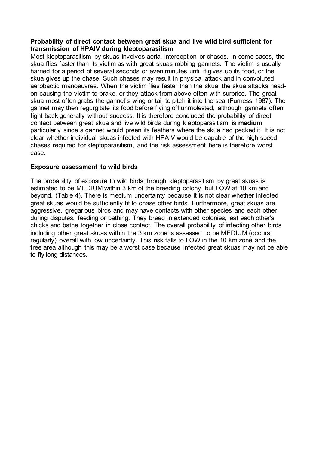#### **Probability of direct contact between great skua and live wild bird sufficient for transmission of HPAIV during kleptoparasitism**

Most kleptoparasitism by skuas involves aerial interception or chases. In some cases, the skua flies faster than its victim as with great skuas robbing gannets. The victim is usually harried for a period of several seconds or even minutes until it gives up its food, or the skua gives up the chase. Such chases may result in physical attack and in convoluted aerobactic manoeuvres. When the victim flies faster than the skua, the skua attacks headon causing the victim to brake, or they attack from above often with surprise. The great skua most often grabs the gannet's wing or tail to pitch it into the sea (Furness 1987). The gannet may then regurgitate its food before flying off unmolested, although gannets often fight back generally without success. It is therefore concluded the probability of direct contact between great skua and live wild birds during kleptoparasitism is **medium** particularly since a gannet would preen its feathers where the skua had pecked it. It is not clear whether individual skuas infected with HPAIV would be capable of the high speed chases required for kleptoparasitism, and the risk assessment here is therefore worst case.

#### **Exposure assessment to wild birds**

The probability of exposure to wild birds through kleptoparasitism by great skuas is estimated to be MEDIUM within 3 km of the breeding colony, but LOW at 10 km and beyond. (Table 4). There is medium uncertainty because it is not clear whether infected great skuas would be sufficiently fit to chase other birds. Furthermore, great skuas are aggressive, gregarious birds and may have contacts with other species and each other during disputes, feeding or bathing. They breed in extended colonies, eat each other's chicks and bathe together in close contact. The overall probability of infecting other birds including other great skuas within the 3 km zone is assessed to be MEDIUM (occurs regularly) overall with low uncertainty. This risk falls to LOW in the 10 km zone and the free area although this may be a worst case because infected great skuas may not be able to fly long distances.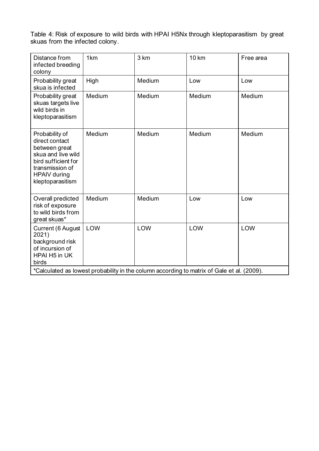Table 4: Risk of exposure to wild birds with HPAI H5Nx through kleptoparasitism by great skuas from the infected colony.

| Distance from<br>infected breeding<br>colony                                                                                                                 | 1km    | 3 km   | <b>10 km</b> | Free area |
|--------------------------------------------------------------------------------------------------------------------------------------------------------------|--------|--------|--------------|-----------|
| Probability great<br>skua is infected                                                                                                                        | High   | Medium | Low          | Low       |
| Probability great<br>skuas targets live<br>wild birds in<br>kleptoparasitism                                                                                 | Medium | Medium | Medium       | Medium    |
| Probability of<br>direct contact<br>between great<br>skua and live wild<br>bird sufficient for<br>transmission of<br><b>HPAIV</b> during<br>kleptoparasitism | Medium | Medium | Medium       | Medium    |
| Overall predicted<br>risk of exposure<br>to wild birds from<br>great skuas*                                                                                  | Medium | Medium | Low          | Low       |
| Current (6 August<br>2021)<br>background risk<br>of incursion of<br>HPAI H5 in UK<br>birds                                                                   | LOW    | LOW    | LOW          | LOW       |
| *Calculated as lowest probability in the column according to matrix of Gale et al. (2009).                                                                   |        |        |              |           |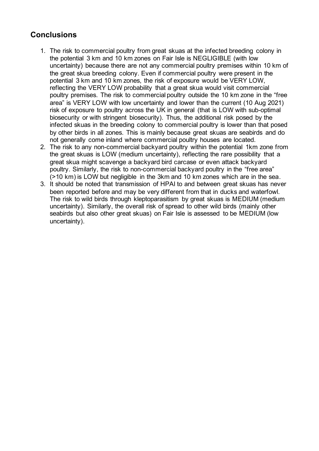## <span id="page-16-0"></span>**Conclusions**

- 1. The risk to commercial poultry from great skuas at the infected breeding colony in the potential 3 km and 10 km zones on Fair Isle is NEGLIGIBLE (with low uncertainty) because there are not any commercial poultry premises within 10 km of the great skua breeding colony. Even if commercial poultry were present in the potential 3 km and 10 km zones, the risk of exposure would be VERY LOW, reflecting the VERY LOW probability that a great skua would visit commercial poultry premises. The risk to commercial poultry outside the 10 km zone in the "free area" is VERY LOW with low uncertainty and lower than the current (10 Aug 2021) risk of exposure to poultry across the UK in general (that is LOW with sub-optimal biosecurity or with stringent biosecurity). Thus, the additional risk posed by the infected skuas in the breeding colony to commercial poultry is lower than that posed by other birds in all zones. This is mainly because great skuas are seabirds and do not generally come inland where commercial poultry houses are located.
- 2. The risk to any non-commercial backyard poultry within the potential 1km zone from the great skuas is LOW (medium uncertainty), reflecting the rare possibility that a great skua might scavenge a backyard bird carcase or even attack backyard poultry. Similarly, the risk to non-commercial backyard poultry in the "free area" (>10 km) is LOW but negligible in the 3km and 10 km zones which are in the sea.
- 3. It should be noted that transmission of HPAI to and between great skuas has never been reported before and may be very different from that in ducks and waterfowl. The risk to wild birds through kleptoparasitism by great skuas is MEDIUM (medium uncertainty). Similarly, the overall risk of spread to other wild birds (mainly other seabirds but also other great skuas) on Fair Isle is assessed to be MEDIUM (low uncertainty).